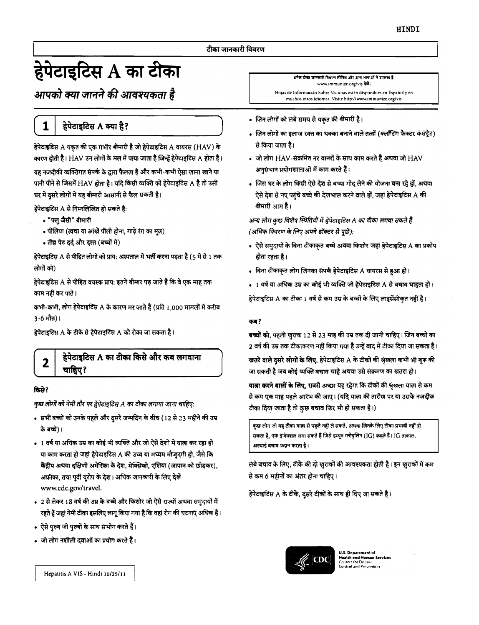# हेपेटाइटिस A का टीका

आपको क्या जानने की आवश्यकता है

1

# हेपेटाइटिस A क्या है?

हेपेटाइटिस A यकृत की एक गंभीर बीमारी है जो हेपेटाइटिस A वायरस (HAV) के कारण होती है। HAV उन लोगों के मल में पाया जाता है जिन्हें हेपेटाइटिस A होता है। यह नजदीकी व्यक्तिगत संपर्क के द्वारा फैलता है और कभी-कभी ऐसा खाना खाने या पानी पीने से जिसमें HAV होता है। यदि किसी व्यक्ति को हेपेटाइटिस A है तो उसी घर में दूसरे लोगों में यह बीमारी आसानी से फैल सकती है।

हेपेटाइटिस A से निम्नलिखित हो सकते हैं:

- "फ्लू जैसी" बीमारी
- पीलिया (त्वचा या आंखें पीली होना, गाढ़े रंग का मुत्र)
- तीव्र पेट दर्द और दस्त (बच्चों में)

हेपेटाइटिस A से पीड़ित लोगों को प्राय: अस्पताल में भर्ती करना पड़ता है (5 में से 1 तक लोगों को)

हेपेटाइटिस A से पीड़ित वयस्क प्राय: इतने बीमार पड़ जाते हैं कि वे एक माह तक काम नहीं कर पाते।

कभी-कभी, लोग हेपेटाइटिस A के कारण मर जाते हैं (प्रति 1,000 मामलों में करीब 3-6 मौत)।

हेपेटाइटिस A के टीके से हेपेटाइटिस A को रोका जा सकता है।

# हेपेटाइटिस A का टीका किसे और कब लगवाना चाहिए?

#### किसे?

2

कुछ लोगों को नेमी तौर पर हेपेटाइटिस A का टीका लगाया जाना चाहिए:

- सभी बच्चों को उनके पहले और दुसरे जन्मदिन के बीच (12 से 23 महीने की उम्र के बच्चे)।
- 1 वर्ष या अधिक उम्र का कोई भी व्यक्ति और जो ऐसे देशों में याता कर रहा हो या काम करता हो जहां हेपेटाइटिस A की उच्च या मच्यम मौजूदगी हो, जैसे कि केंद्रीय अथवा दक्षिणी अमेरिका के देश, मेक्सिको, एशिया (जापान को छोड़कर), अफ्रीका, तथा पूर्वी यूरोप के देश। अधिक जानकारी के लिए देखें www.cdc.gov/travel.
- 2 से लेकर 18 वर्ष की उम्र के बच्चे और किशोर जो ऐसे राज्यों अथवा समुदायों में रहते हैं जहां नेमी टीका इसलिए लागू किया गया है कि वहां रोग की घटनाएं अधिक हैं।
- ऐसे पुरुष जो पुरुषों के साथ सभोग करते हैं।
- जो लोग नशीली दवाओं का प्रयोग करते हैं।

.<br>अनेक टीका जानकारी विवरण स्पेनिश और अन्य भाषाओं में उपलब्ध हैं। www.immunize.org/vis देखे : Hojas de Informacián Sobre Vacunas están disponibles en Español y en muchos otros idiomas. Visite http://www.immunize.org/vis

- जिन लोगों को लंबे समय से यकत की बीमारी है।
- जिन लोगों का इलाज रक्त का थक्का बनाने वाले तत्वों (क्लॉटिंग फैक्टर कंसंट्रेट) से किया जाता है।
- जो लोग HAV-संक्रमित नर वानरों के साथ काम करते हैं अथवा जो HAV अनुसंचान प्रयोगशालाओं में काम करते हैं।
- जिस घर के लोग किसी ऐसे देश से बच्चा गोद लेने की योजना बना रहे हों, अथवा ऐसे देश से नए पहुंचे बच्चे की देखभाल करने वाले हों, जहां हेपेटाइटिस A की बीमारी आम है।

अन्य लोग कुछ विशेष स्थितियों में हेपेटाइटिस A का टीका लगवा सकते हैं (अधिक विवरण के लिए अपने डॉक्टर से पूछें):

- ऐसे समुदायों के बिना टीकाकृत बच्चे अथवा किशोर जहां हेपेटाइटिस A का प्रकोप होता रहता है।
- बिना टीकाकृत लोग जिनका संपर्क हेपेटाइटिस A वायरस से हुआ हो।
- 1 वर्ष या अधिक उम्र का कोई भी व्यक्ति जो हेपेटाइटिस A से बचाव चाहता हो।

हेपेटाइटिस A का टीका 1 वर्ष से कम उम्र के बच्चों के लिए लाइसेंसीकत नहीं है।

#### कब?

बच्चों को, पहली खुराक 12 से 23 माह की उम्र तक दी जानी चाहिए। जिन बच्चों का 2 वर्ष की उम्र तक टीकाकरण नहीं किया गया है उन्हें बाद में टीका दिया जा सकता है।

खतरे वाले दूसरे लोगों के लिए, हेपेटाइटिस A के टीकों की श्रृंखला कभी भी शुरू की जा सकती है जब कोई व्यक्ति बचाव चाहे अथवा उसे संक्रमण का खतरा हो।

यात्ना करने वालों के लिए, सबसे अच्छा यह रहेगा कि टीकों की श्रृंखला याता से कम से कम एक माह पहले आरंभ की जाए। (यदि याला की तारीख पर या उसके नजदीक टीका दिया जाता है तो कुछ बचाव फिर भी हो सकता है।)

कुछ लोग जो यह टौका यात्ना से पहले नहीं ले सकते, अथवा जिनके लिए टीका प्रभावी नहीं हो सकता है, एक इंजेक्शल लगा सकते हैं जिसे इम्यून ग्लोबुलिन (IG) कहते हैं। IG तत्काल, अस्याइं बचाव प्रदान करता है।

लंबे बचाव के लिए, टीके की दो खुराकों की आवश्यकता होती है। इन खुराकों में कम से कम 6 महीनों का अंतर होना चाहिए।

हेपेटाइटिस A के टीके, दुसरे टीकों के साथ ही दिए जा सकते हैं।



**U.S. Department of ealth and Human Services**<br>auters for Disease

Hepatitis A VIS - Hindi 10/25/11